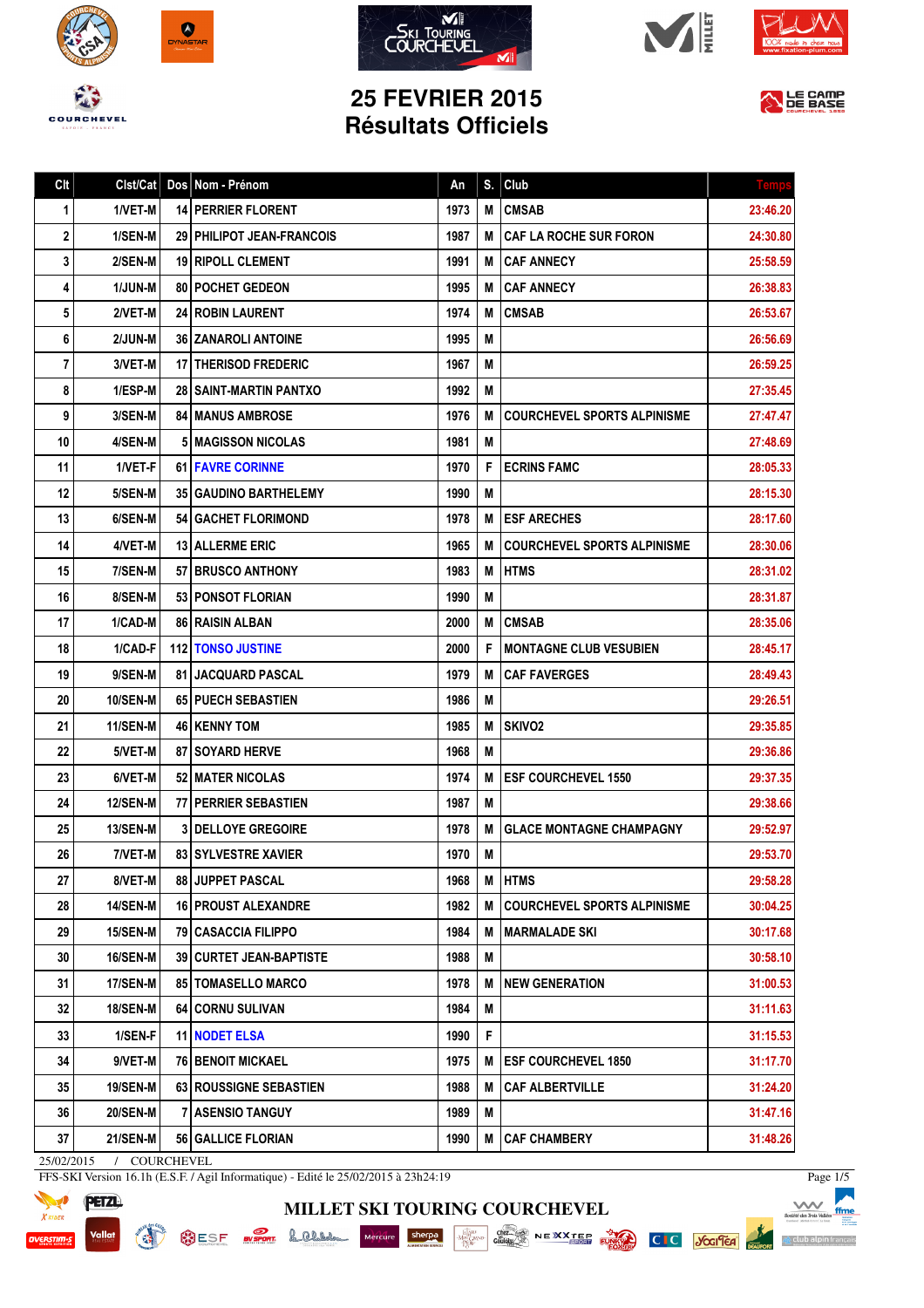









## **25 FEVRIER 2015 Résultats Officiels**



| Clt | Clst/Cat        | Dos Nom - Prénom                 | An   | S. | Club                               | <b>Temp:</b> |
|-----|-----------------|----------------------------------|------|----|------------------------------------|--------------|
| 1   | 1/VET-M         | <b>14 PERRIER FLORENT</b>        | 1973 | M  | <b>CMSAB</b>                       | 23:46.20     |
| 2   | 1/SEN-M         | 29 PHILIPOT JEAN-FRANCOIS        | 1987 | М  | <b>CAF LA ROCHE SUR FORON</b>      | 24:30.80     |
| 3   | 2/SEN-M         | <b>19 RIPOLL CLEMENT</b>         | 1991 | М  | <b>CAF ANNECY</b>                  | 25:58.59     |
| 4   | <b>1/JUN-M</b>  | 80   POCHET GEDEON               | 1995 | М  | <b>CAF ANNECY</b>                  | 26:38.83     |
| 5   | 2/VET-M         | <b>24 ROBIN LAURENT</b>          | 1974 | М  | <b>CMSAB</b>                       | 26:53.67     |
| 6   | 2/JUN-M         | <b>36 ZANAROLI ANTOINE</b>       | 1995 | M  |                                    | 26:56.69     |
| 7   | 3/VET-M         | 17   THERISOD FREDERIC           | 1967 | М  |                                    | 26:59.25     |
| 8   | 1/ESP-M         | <b>28   SAINT-MARTIN PANTXO</b>  | 1992 | M  |                                    | 27:35.45     |
| 9   | 3/SEN-M         | <b>84   MANUS AMBROSE</b>        | 1976 | M  | <b>COURCHEVEL SPORTS ALPINISME</b> | 27:47.47     |
| 10  | 4/SEN-M         | <b>5   MAGISSON NICOLAS</b>      | 1981 | M  |                                    | 27:48.69     |
| 11  | 1/VET-F         | <b>61 FAVRE CORINNE</b>          | 1970 | F  | <b>ECRINS FAMC</b>                 | 28:05.33     |
| 12  | 5/SEN-M         | <b>35 GAUDINO BARTHELEMY</b>     | 1990 | M  |                                    | 28:15.30     |
| 13  | 6/SEN-M         | <b>54   GACHET FLORIMOND</b>     | 1978 | M  | <b>ESF ARECHES</b>                 | 28:17.60     |
| 14  | 4/VET-M         | <b>13 ALLERME ERIC</b>           | 1965 | М  | <b>COURCHEVEL SPORTS ALPINISME</b> | 28:30.06     |
| 15  | 7/SEN-M         | 57 BRUSCO ANTHONY                | 1983 | M  | <b>HTMS</b>                        | 28:31.02     |
| 16  | 8/SEN-M         | <b>53 PONSOT FLORIAN</b>         | 1990 | M  |                                    | 28:31.87     |
| 17  | 1/CAD-M         | 86 RAISIN ALBAN                  | 2000 | М  | <b>CMSAB</b>                       | 28:35.06     |
| 18  | 1/CAD-F         | <b>112 TONSO JUSTINE</b>         | 2000 | F  | <b>IMONTAGNE CLUB VESUBIEN</b>     | 28:45.17     |
| 19  | 9/SEN-M         | <b>81   JACQUARD PASCAL</b>      | 1979 | М  | <b>CAF FAVERGES</b>                | 28:49.43     |
| 20  | <b>10/SEN-M</b> | <b>65 PUECH SEBASTIEN</b>        | 1986 | M  |                                    | 29:26.51     |
| 21  | <b>11/SEN-M</b> | <b>46   KENNY TOM</b>            | 1985 | М  | <b>SKIVO2</b>                      | 29:35.85     |
| 22  | 5/VET-M         | 87   SOYARD HERVE                | 1968 | M  |                                    | 29:36.86     |
| 23  | 6/VET-M         | 52   MATER NICOLAS               | 1974 | М  | <b>ESF COURCHEVEL 1550</b>         | 29:37.35     |
| 24  | <b>12/SEN-M</b> | 77 PERRIER SEBASTIEN             | 1987 | M  |                                    | 29:38.66     |
| 25  | <b>13/SEN-M</b> | <b>3 DELLOYE GREGOIRE</b>        | 1978 | М  | <b>GLACE MONTAGNE CHAMPAGNY</b>    | 29:52.97     |
| 26  | 7/VET-M         | 83 SYLVESTRE XAVIER              | 1970 | M  |                                    | 29:53.70     |
| 27  | 8/VET-M         | <b>88 JUPPET PASCAL</b>          | 1968 | M  | <b>HTMS</b>                        | 29:58.28     |
| 28  | <b>14/SEN-M</b> | <b>16 PROUST ALEXANDRE</b>       | 1982 | M  | <b>COURCHEVEL SPORTS ALPINISME</b> | 30:04.25     |
| 29  | 15/SEN-M        | 79   CASACCIA FILIPPO            | 1984 | М  | <b>MARMALADE SKI</b>               | 30:17.68     |
| 30  | <b>16/SEN-M</b> | <b>39   CURTET JEAN-BAPTISTE</b> | 1988 | M  |                                    | 30:58.10     |
| 31  | 17/SEN-M        | <b>85   TOMASELLO MARCO</b>      | 1978 | М  | <b>NEW GENERATION</b>              | 31:00.53     |
| 32  | <b>18/SEN-M</b> | 64   CORNU SULIVAN               | 1984 | М  |                                    | 31:11.63     |
| 33  | 1/SEN-F         | 11 NODET ELSA                    | 1990 | F  |                                    | 31:15.53     |
| 34  | 9/VET-M         | <b>76 BENOIT MICKAEL</b>         | 1975 | Μ  | <b>ESF COURCHEVEL 1850</b>         | 31:17.70     |
| 35  | <b>19/SEN-M</b> | 63 ROUSSIGNE SEBASTIEN           | 1988 | M  | <b>CAF ALBERTVILLE</b>             | 31:24.20     |
| 36  | <b>20/SEN-M</b> | 7 ASENSIO TANGUY                 | 1989 | Μ  |                                    | 31:47.16     |
| 37  | <b>21/SEN-M</b> | 56 GALLICE FLORIAN               | 1990 | M  | <b>CAF CHAMBERY</b>                | 31:48.26     |
|     |                 |                                  |      |    |                                    |              |

**MILLET SKI TOURING COURCHEVEL**

25/02/2015 / COURCHEVEL

**READ** 

FFS-SKI Version 16.1h (E.S.F. / Agil Informatique) - Edité le 25/02/2015 à 23h24:19



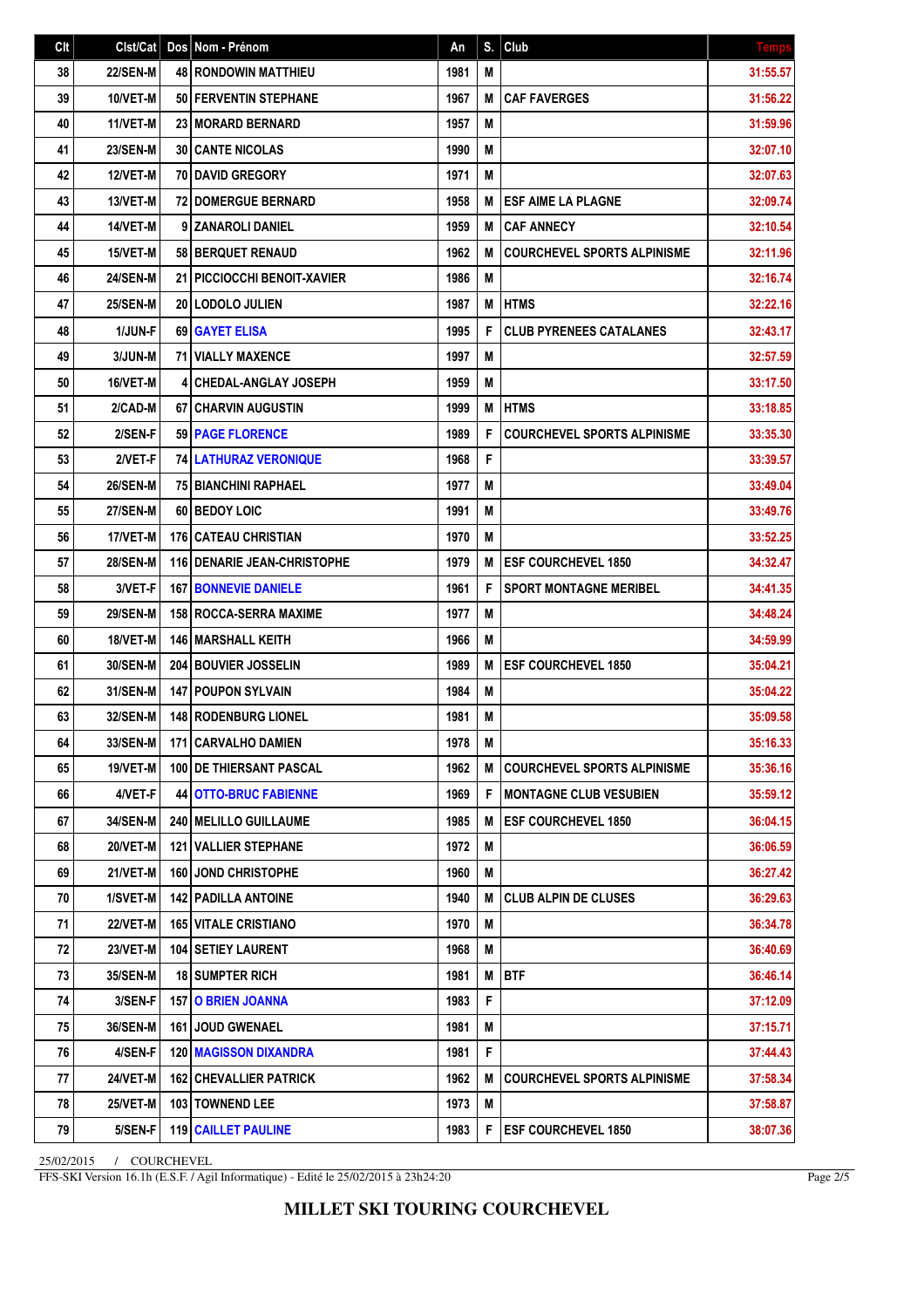| Clt | Clst/Cat        | Dos Nom - Prénom                     | An   | S. | Club                               | <b>Temps</b> |
|-----|-----------------|--------------------------------------|------|----|------------------------------------|--------------|
| 38  | <b>22/SEN-M</b> | <b>48 RONDOWIN MATTHIEU</b>          | 1981 | M  |                                    | 31:55.57     |
| 39  | 10/VET-M        | 50 FERVENTIN STEPHANE                | 1967 | M  | <b>CAF FAVERGES</b>                | 31:56.22     |
| 40  | 11/VET-M        | 23 MORARD BERNARD                    | 1957 | M  |                                    | 31:59.96     |
| 41  | <b>23/SEN-M</b> | <b>30 CANTE NICOLAS</b>              | 1990 | M  |                                    | 32:07.10     |
| 42  | 12/VET-M        | <b>70 DAVID GREGORY</b>              | 1971 | M  |                                    | 32:07.63     |
| 43  | 13/VET-M        | 72 DOMERGUE BERNARD                  | 1958 | M  | <b>ESF AIME LA PLAGNE</b>          | 32:09.74     |
| 44  | 14/VET-M        | 9 ZANAROLI DANIEL                    | 1959 | M  | <b>CAF ANNECY</b>                  | 32:10.54     |
| 45  | 15/VET-M        | 58 BERQUET RENAUD                    | 1962 | M  | <b>COURCHEVEL SPORTS ALPINISME</b> | 32:11.96     |
| 46  | 24/SEN-M        | 21   PICCIOCCHI BENOIT-XAVIER        | 1986 | M  |                                    | 32:16.74     |
| 47  | <b>25/SEN-M</b> | 20   LODOLO JULIEN                   | 1987 | M  | <b>HTMS</b>                        | 32:22.16     |
| 48  | 1/JUN-F         | 69 GAYET ELISA                       | 1995 | F  | <b>CLUB PYRENEES CATALANES</b>     | 32:43.17     |
| 49  | 3/JUN-M         | <b>71 VIALLY MAXENCE</b>             | 1997 | M  |                                    | 32:57.59     |
| 50  | 16/VET-M        | <b>4 CHEDAL-ANGLAY JOSEPH</b>        | 1959 | M  |                                    | 33:17.50     |
| 51  | 2/CAD-M         | 67 CHARVIN AUGUSTIN                  | 1999 | M  | <b>HTMS</b>                        | 33:18.85     |
| 52  | 2/SEN-F         | <b>59 PAGE FLORENCE</b>              | 1989 | F  | <b>COURCHEVEL SPORTS ALPINISME</b> | 33:35.30     |
| 53  | 2/VET-F         | <b>74 LATHURAZ VERONIQUE</b>         | 1968 | F  |                                    | 33:39.57     |
| 54  | <b>26/SEN-M</b> | 75   BIANCHINI RAPHAEL               | 1977 | M  |                                    | 33:49.04     |
| 55  | 27/SEN-M        | 60 BEDOY LOIC                        | 1991 | M  |                                    | 33:49.76     |
| 56  | 17/VET-M        | 176 CATEAU CHRISTIAN                 | 1970 | Μ  |                                    | 33:52.25     |
| 57  | <b>28/SEN-M</b> | <b>116 I DENARIE JEAN-CHRISTOPHE</b> | 1979 | M  | <b>ESF COURCHEVEL 1850</b>         | 34:32.47     |
| 58  | 3/VET-F         | <b>167 BONNEVIE DANIELE</b>          | 1961 | F  | <b>SPORT MONTAGNE MERIBEL</b>      | 34:41.35     |
| 59  | <b>29/SEN-M</b> | <b>158 ROCCA-SERRA MAXIME</b>        | 1977 | M  |                                    | 34:48.24     |
| 60  | 18/VET-M        | <b>146   MARSHALL KEITH</b>          | 1966 | M  |                                    | 34:59.99     |
| 61  | <b>30/SEN-M</b> | 204 BOUVIER JOSSELIN                 | 1989 | M  | <b>ESF COURCHEVEL 1850</b>         | 35:04.21     |
| 62  | 31/SEN-M        | <b>147 POUPON SYLVAIN</b>            | 1984 | M  |                                    | 35:04.22     |
| 63  | <b>32/SEN-M</b> | <b>148 RODENBURG LIONEL</b>          | 1981 | M  |                                    | 35:09.58     |
| 64  | 33/SEN-M        | 171 CARVALHO DAMIEN                  | 1978 | M  |                                    | 35:16.33     |
| 65  | <b>19/VET-M</b> | <b>100 IDE THIERSANT PASCAL</b>      | 1962 | М  | <b>COURCHEVEL SPORTS ALPINISME</b> | 35:36.16     |
| 66  | 4/VET-F         | <b>44 OTTO-BRUC FABIENNE</b>         | 1969 | F  | <b>MONTAGNE CLUB VESUBIEN</b>      | 35:59.12     |
| 67  | 34/SEN-M        | <b>240   MELILLO GUILLAUME</b>       | 1985 | M  | <b>ESF COURCHEVEL 1850</b>         | 36:04.15     |
| 68  | 20/VET-M        | <b>121 VALLIER STEPHANE</b>          | 1972 | M  |                                    | 36:06.59     |
| 69  | 21/VET-M        | <b>160 JOND CHRISTOPHE</b>           | 1960 | M  |                                    | 36:27.42     |
| 70  | 1/SVET-M        | <b>142   PADILLA ANTOINE</b>         | 1940 | M  | <b>CLUB ALPIN DE CLUSES</b>        | 36:29.63     |
| 71  | <b>22/VET-M</b> | <b>165 VITALE CRISTIANO</b>          | 1970 | M  |                                    | 36:34.78     |
| 72  | 23/VET-M        | <b>104 SETIEY LAURENT</b>            | 1968 | M  |                                    | 36:40.69     |
| 73  | <b>35/SEN-M</b> | <b>18 SUMPTER RICH</b>               | 1981 | M  | <b>BTF</b>                         | 36:46.14     |
| 74  | 3/SEN-F         | <b>15710 BRIEN JOANNA</b>            | 1983 | F  |                                    | 37:12.09     |
| 75  | 36/SEN-M        | <b>161   JOUD GWENAEL</b>            | 1981 | M  |                                    | 37:15.71     |
| 76  | 4/SEN-F         | <b>120   MAGISSON DIXANDRA</b>       | 1981 | F  |                                    | 37:44.43     |
| 77  | 24/VET-M        | <b>162 CHEVALLIER PATRICK</b>        | 1962 | M  | <b>COURCHEVEL SPORTS ALPINISME</b> | 37:58.34     |
| 78  | <b>25/VET-M</b> | 103 TOWNEND LEE                      | 1973 | Μ  |                                    | 37:58.87     |
| 79  | 5/SEN-F         | <b>119 CAILLET PAULINE</b>           | 1983 | F  | <b>ESF COURCHEVEL 1850</b>         | 38:07.36     |

25/02/2015 / COURCHEVEL

FFS-SKI Version 16.1h (E.S.F. / Agil Informatique) - Edité le 25/02/2015 à 23h24:20

Page 2/5

**MILLET SKI TOURING COURCHEVEL**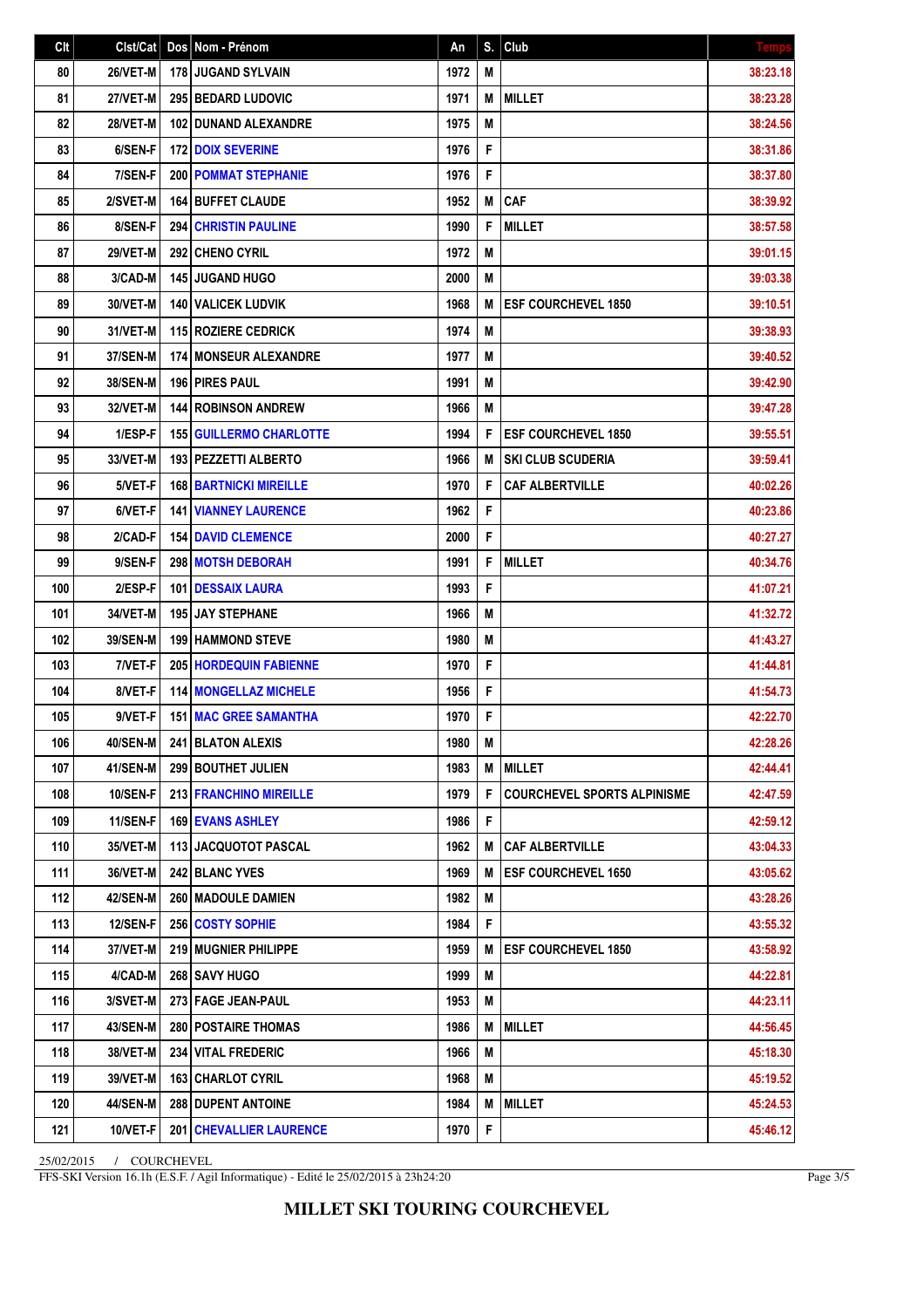| Clt | Clst/Cat        | Dos Nom - Prénom               | An   | S. | Club                               | <b>Temps</b> |
|-----|-----------------|--------------------------------|------|----|------------------------------------|--------------|
| 80  | 26/VET-M        | 178 JUGAND SYLVAIN             | 1972 | M  |                                    | 38:23.18     |
| 81  | 27/VET-M        | 295 BEDARD LUDOVIC             | 1971 | M  | <b>MILLET</b>                      | 38:23.28     |
| 82  | 28/VET-M        | <b>102 DUNAND ALEXANDRE</b>    | 1975 | M  |                                    | 38:24.56     |
| 83  | 6/SEN-F         | <b>172 DOIX SEVERINE</b>       | 1976 | F  |                                    | 38:31.86     |
| 84  | 7/SEN-F         | <b>200 POMMAT STEPHANIE</b>    | 1976 | F  |                                    | 38:37.80     |
| 85  | 2/SVET-M        | <b>164 BUFFET CLAUDE</b>       | 1952 | M  | <b>CAF</b>                         | 38:39.92     |
| 86  | 8/SEN-F         | <b>294 CHRISTIN PAULINE</b>    | 1990 | F  | <b>MILLET</b>                      | 38:57.58     |
| 87  | <b>29/VET-M</b> | 292 CHENO CYRIL                | 1972 | M  |                                    | 39:01.15     |
| 88  | 3/CAD-M         | <b>145 JUGAND HUGO</b>         | 2000 | M  |                                    | 39:03.38     |
| 89  | 30/VET-M        | <b>140   VALICEK LUDVIK</b>    | 1968 | M  | <b>ESF COURCHEVEL 1850</b>         | 39:10.51     |
| 90  | 31/VET-M        | 115 ROZIERE CEDRICK            | 1974 | Μ  |                                    | 39:38.93     |
| 91  | 37/SEN-M        | <b>174 MONSEUR ALEXANDRE</b>   | 1977 | M  |                                    | 39:40.52     |
| 92  | 38/SEN-M        | <b>196 PIRES PAUL</b>          | 1991 | Μ  |                                    | 39:42.90     |
| 93  | 32/VET-M        | <b>144 ROBINSON ANDREW</b>     | 1966 | M  |                                    | 39:47.28     |
| 94  | 1/ESP-F         | <b>155 GUILLERMO CHARLOTTE</b> | 1994 | F  | <b>ESF COURCHEVEL 1850</b>         | 39:55.51     |
| 95  | 33/VET-M        | 193 PEZZETTI ALBERTO           | 1966 | M  | <b>SKI CLUB SCUDERIA</b>           | 39:59.41     |
| 96  | 5/VET-F         | <b>168 BARTNICKI MIREILLE</b>  | 1970 | F  | <b>CAF ALBERTVILLE</b>             | 40:02.26     |
| 97  | 6/VET-F         | <b>141   VIANNEY LAURENCE</b>  | 1962 | F  |                                    | 40:23.86     |
| 98  | 2/CAD-F         | <b>154 DAVID CLEMENCE</b>      | 2000 | F  |                                    | 40:27.27     |
| 99  | 9/SEN-F         | <b>298 MOTSH DEBORAH</b>       | 1991 | F  | <b>MILLET</b>                      | 40:34.76     |
| 100 | 2/ESP-F         | 101   DESSAIX LAURA            | 1993 | F  |                                    | 41:07.21     |
| 101 | 34/VET-M        | 195 JAY STEPHANE               | 1966 | M  |                                    | 41:32.72     |
| 102 | 39/SEN-M        | <b>199 HAMMOND STEVE</b>       | 1980 | M  |                                    | 41:43.27     |
| 103 | 7/VET-F         | <b>205 HORDEQUIN FABIENNE</b>  | 1970 | F  |                                    | 41:44.81     |
| 104 | 8/VET-F         | <b>114 MONGELLAZ MICHELE</b>   | 1956 | F  |                                    | 41:54.73     |
| 105 | 9/VET-F         | <b>151 MAC GREE SAMANTHA</b>   | 1970 | F  |                                    | 42:22.70     |
| 106 | <b>40/SEN-M</b> | 241 BLATON ALEXIS              | 1980 | M  |                                    | 42:28.26     |
| 107 | 41/SEN-M        | <b>299 BOUTHET JULIEN</b>      | 1983 | M  | <b>MILLET</b>                      | 42:44.41     |
| 108 | 10/SEN-F        | 213 FRANCHINO MIREILLE         | 1979 | F  | <b>COURCHEVEL SPORTS ALPINISME</b> | 42:47.59     |
| 109 | 11/SEN-F        | <b>169 EVANS ASHLEY</b>        | 1986 | F  |                                    | 42:59.12     |
| 110 | 35/VET-M        | 113 JACQUOTOT PASCAL           | 1962 | M  | <b>CAF ALBERTVILLE</b>             | 43:04.33     |
| 111 | 36/VET-M        | <b>242 BLANC YVES</b>          | 1969 | M  | <b>ESF COURCHEVEL 1650</b>         | 43:05.62     |
| 112 | <b>42/SEN-M</b> | <b>260   MADOULE DAMIEN</b>    | 1982 | M  |                                    | 43:28.26     |
| 113 | 12/SEN-F        | 256 COSTY SOPHIE               | 1984 | F  |                                    | 43:55.32     |
| 114 | 37/VET-M        | 219 MUGNIER PHILIPPE           | 1959 | M  | <b>ESF COURCHEVEL 1850</b>         | 43:58.92     |
| 115 | 4/CAD-M         | 268 SAVY HUGO                  | 1999 | M  |                                    | 44:22.81     |
| 116 | 3/SVET-M        | 273 FAGE JEAN-PAUL             | 1953 | M  |                                    | 44:23.11     |
| 117 | 43/SEN-M        | 280   POSTAIRE THOMAS          | 1986 | M  | <b>MILLET</b>                      | 44:56.45     |
| 118 | 38/VET-M        | 234 VITAL FREDERIC             | 1966 | M  |                                    | 45:18.30     |
| 119 | <b>39/VET-M</b> | 163 CHARLOT CYRIL              | 1968 | M  |                                    | 45:19.52     |
| 120 | 44/SEN-M        | 288 DUPENT ANTOINE             | 1984 | M  | <b>MILLET</b>                      | 45:24.53     |
| 121 | 10/VET-F        | <b>201 CHEVALLIER LAURENCE</b> | 1970 | F  |                                    | 45:46.12     |

25/02/2015 / COURCHEVEL

FFS-SKI Version 16.1h (E.S.F. / Agil Informatique) - Edité le 25/02/2015 à 23h24:20

Page 3/5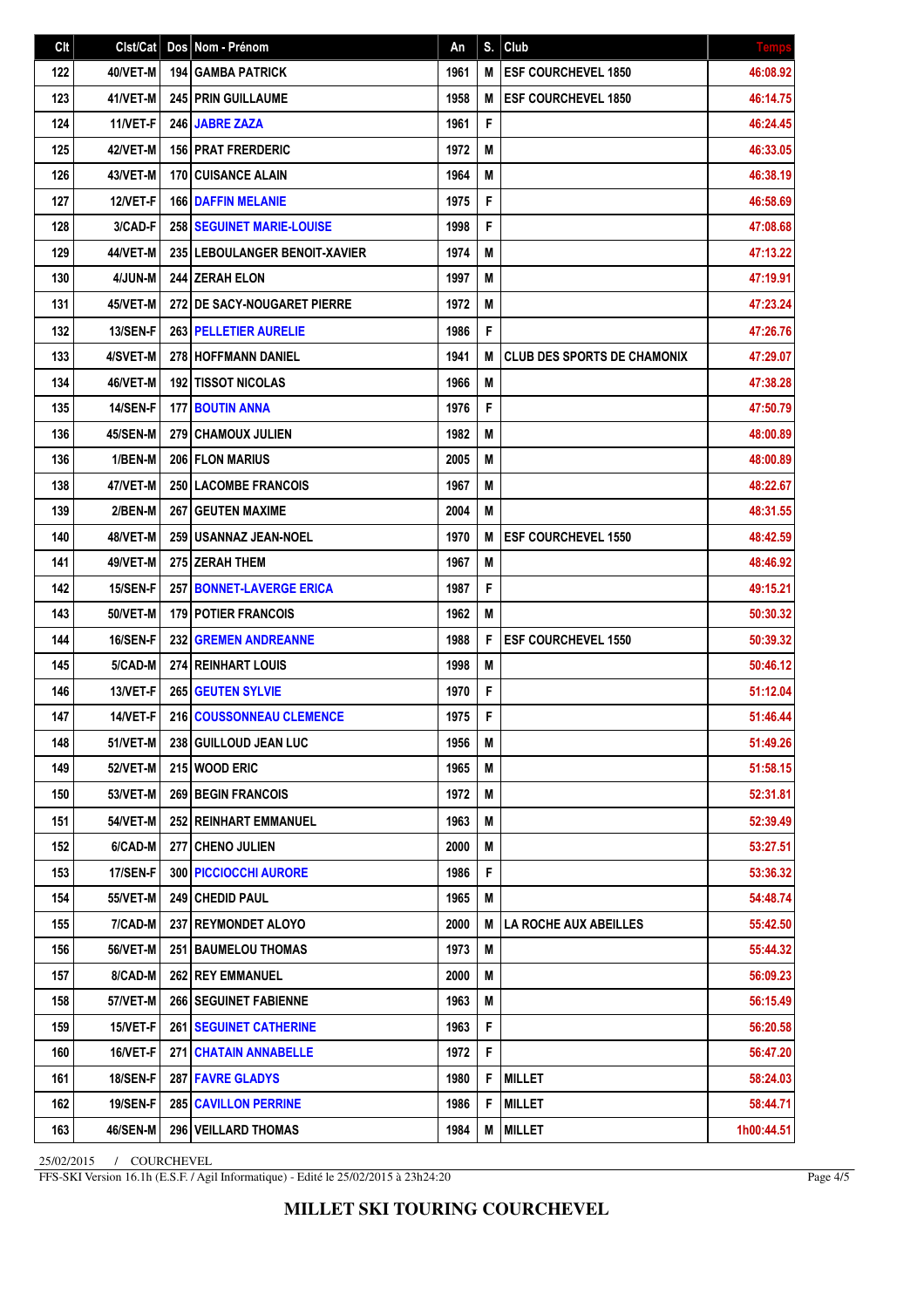| Clt | Clst/Cat        | Dos | Nom - Prénom                       | An   | S. | Club                               | <b>Temp</b> |
|-----|-----------------|-----|------------------------------------|------|----|------------------------------------|-------------|
| 122 | 40/VET-M        |     | <b>194 GAMBA PATRICK</b>           | 1961 | M  | <b>ESF COURCHEVEL 1850</b>         | 46:08.92    |
| 123 | 41/VET-M        |     | <b>245 PRIN GUILLAUME</b>          | 1958 | M  | <b>ESF COURCHEVEL 1850</b>         | 46:14.75    |
| 124 | 11/VET-F        |     | 246 JABRE ZAZA                     | 1961 | F  |                                    | 46:24.45    |
| 125 | 42/VET-M        |     | <b>156 PRAT FRERDERIC</b>          | 1972 | M  |                                    | 46:33.05    |
| 126 | 43/VET-M        |     | <b>170 CUISANCE ALAIN</b>          | 1964 | M  |                                    | 46:38.19    |
| 127 | 12/VET-F        |     | <b>166 DAFFIN MELANIE</b>          | 1975 | F  |                                    | 46:58.69    |
| 128 | 3/CAD-F         |     | <b>258   SEGUINET MARIE-LOUISE</b> | 1998 | F  |                                    | 47:08.68    |
| 129 | 44/VET-M        |     | 235 LEBOULANGER BENOIT-XAVIER      | 1974 | M  |                                    | 47:13.22    |
| 130 | 4/JUN-M         |     | <b>244 ZERAH ELON</b>              | 1997 | M  |                                    | 47:19.91    |
| 131 | 45/VET-M        |     | 272 DE SACY-NOUGARET PIERRE        | 1972 | M  |                                    | 47:23.24    |
| 132 | <b>13/SEN-F</b> |     | <b>263 PELLETIER AURELIE</b>       | 1986 | F  |                                    | 47:26.76    |
| 133 | 4/SVET-M        |     | <b>278 HOFFMANN DANIEL</b>         | 1941 | M  | <b>CLUB DES SPORTS DE CHAMONIX</b> | 47:29.07    |
| 134 | 46/VET-M        |     | <b>192 TISSOT NICOLAS</b>          | 1966 | Μ  |                                    | 47:38.28    |
| 135 | <b>14/SEN-F</b> |     | <b>177 BOUTIN ANNA</b>             | 1976 | F  |                                    | 47:50.79    |
| 136 | 45/SEN-M        |     | <b>279 CHAMOUX JULIEN</b>          | 1982 | M  |                                    | 48:00.89    |
| 136 | 1/BEN-M         |     | 206 FLON MARIUS                    | 2005 | M  |                                    | 48:00.89    |
| 138 | 47/VET-M        |     | 250 LACOMBE FRANCOIS               | 1967 | M  |                                    | 48:22.67    |
| 139 | 2/BEN-M         |     | <b>267 GEUTEN MAXIME</b>           | 2004 | M  |                                    | 48:31.55    |
| 140 | 48/VET-M        |     | <b>259 USANNAZ JEAN-NOEL</b>       | 1970 | М  | <b>ESF COURCHEVEL 1550</b>         | 48:42.59    |
| 141 | 49/VET-M        |     | 275 ZERAH THEM                     | 1967 | M  |                                    | 48:46.92    |
| 142 | <b>15/SEN-F</b> |     | <b>257 BONNET-LAVERGE ERICA</b>    | 1987 | F  |                                    | 49:15.21    |
| 143 | 50/VET-M        |     | 179 POTIER FRANCOIS                | 1962 | M  |                                    | 50:30.32    |
| 144 | <b>16/SEN-F</b> |     | <b>232 GREMEN ANDREANNE</b>        | 1988 | F  | <b>ESF COURCHEVEL 1550</b>         | 50:39.32    |
| 145 | 5/CAD-M         |     | <b>274 REINHART LOUIS</b>          | 1998 | M  |                                    | 50:46.12    |
| 146 | 13/VET-F        |     | <b>265 GEUTEN SYLVIE</b>           | 1970 | F  |                                    | 51:12.04    |
| 147 | 14/VET-F        |     | 216 COUSSONNEAU CLEMENCE           | 1975 | F  |                                    | 51:46.44    |
| 148 | 51/VET-M        |     | 238 GUILLOUD JEAN LUC              | 1956 | M  |                                    | 51:49.26    |
| 149 | <b>52/VET-M</b> |     | 215 WOOD ERIC                      | 1965 | M  |                                    | 51:58.15    |
| 150 | <b>53/VET-M</b> |     | <b>269 BEGIN FRANCOIS</b>          | 1972 | M  |                                    | 52:31.81    |
| 151 | <b>54/VET-M</b> |     | 252 REINHART EMMANUEL              | 1963 | M  |                                    | 52:39.49    |
| 152 | 6/CAD-M         |     | 277 CHENO JULIEN                   | 2000 | M  |                                    | 53:27.51    |
| 153 | 17/SEN-F        |     | <b>300 PICCIOCCHI AURORE</b>       | 1986 | F  |                                    | 53:36.32    |
| 154 | <b>55/VET-M</b> |     | 249 CHEDID PAUL                    | 1965 | M  |                                    | 54:48.74    |
| 155 | 7/CAD-M         |     | 237 REYMONDET ALOYO                | 2000 | M  | LA ROCHE AUX ABEILLES              | 55:42.50    |
| 156 | <b>56/VET-M</b> |     | 251 BAUMELOU THOMAS                | 1973 | M  |                                    | 55:44.32    |
| 157 | 8/CAD-M         |     | <b>262 REY EMMANUEL</b>            | 2000 | Μ  |                                    | 56:09.23    |
| 158 | <b>57/VET-M</b> |     | 266 SEGUINET FABIENNE              | 1963 | M  |                                    | 56:15.49    |
| 159 | 15/VET-F        |     | <b>261   SEGUINET CATHERINE</b>    | 1963 | F  |                                    | 56:20.58    |
| 160 | 16/VET-F        |     | <b>271   CHATAIN ANNABELLE</b>     | 1972 | F  |                                    | 56:47.20    |
| 161 | 18/SEN-F        |     | 287 FAVRE GLADYS                   | 1980 | F  | <b>MILLET</b>                      | 58:24.03    |
| 162 | <b>19/SEN-F</b> |     | <b>285   CAVILLON PERRINE</b>      | 1986 | F  | <b>MILLET</b>                      | 58:44.71    |
| 163 | <b>46/SEN-M</b> |     | 296 VEILLARD THOMAS                | 1984 | M  | <b>MILLET</b>                      | 1h00:44.51  |

25/02/2015 / COURCHEVEL

FFS-SKI Version 16.1h (E.S.F. / Agil Informatique) - Edité le 25/02/2015 à 23h24:20

Page 4/5